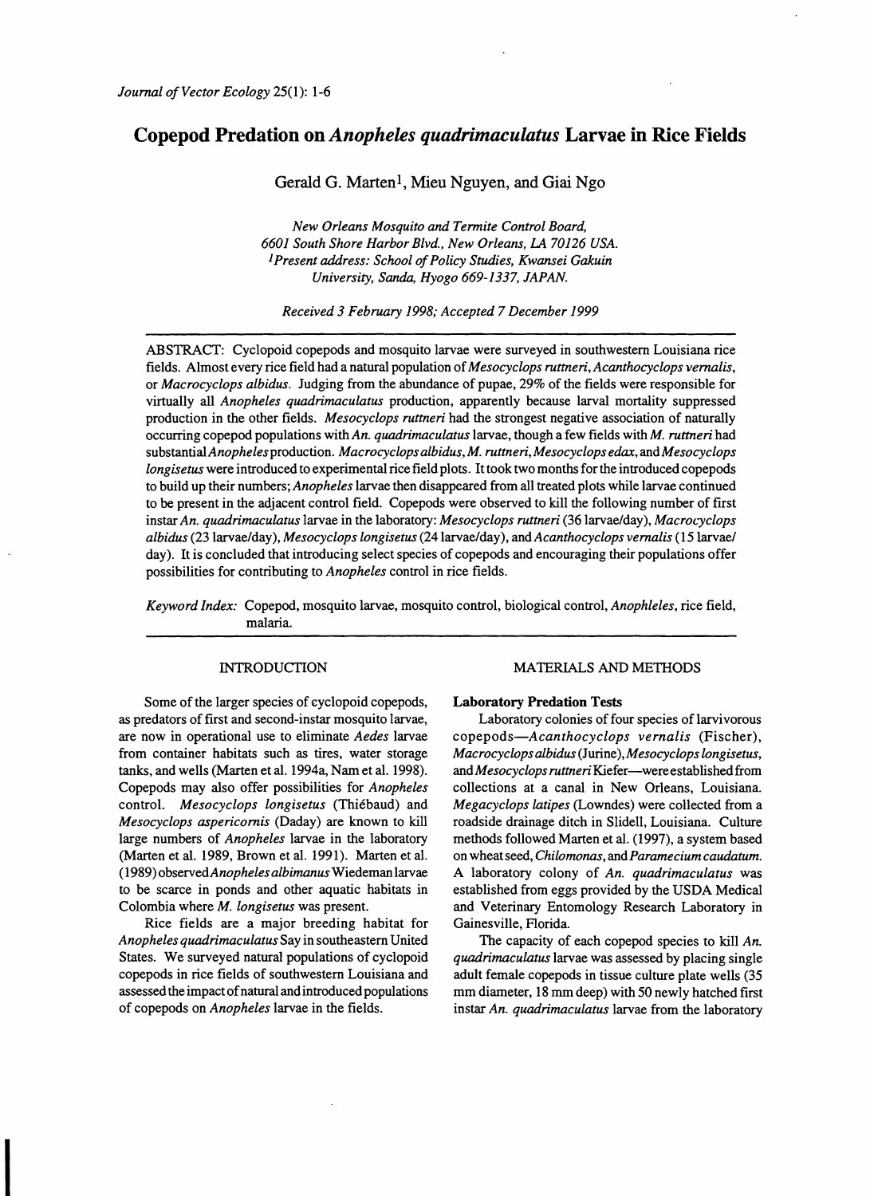# Copepod Predation on *Anopheles quadrimaculatus* Larvae in Rice Fields

Gerald G. Marten<sup>1</sup>, Mieu Nguyen, and Giai Ngo

*New Orleans Mosquito and Termite Control Board, 6601 South Shore Harbor Blvd., New Orleans, LA 70126 USA.* <sup>1</sup> Present address: School of Policy Studies, Kwansei Gakuin *University, Sanda, Hyogo* 669-1337, *JAPAN.* 

*Received* 3 *February* 1998; *Accepted* 7 *December 1999* 

ABSTRACT: Cyclopoid copepods and mosquito larvae were surveyed in southwestern Louisiana rice fields. Almost every rice field had a natural population of*Mesocyclops ruttneri, Acanthocyclops vernalis,*  or *Macrocyclops albidus.* Judging from the abundance of pupae, 29% of the fields were responsible for virtually all *Anopheles quadrimaculatus* production, apparently because larval mortality suppressed production in the other fields. *Mesocyclops ruttneri* had the strongest negative association of naturally occurring copepod populations with *An. quadrimaculatus* larvae, though a few fields with *M. ruttneri* had substantial*Anopheles*production. *Macrocyclops albidus., M. ruttneri, Mesocyclops edax,* and *Mesocyclops longisetus* were introduced to experimental rice field plots. It took two months for the introduced copepods to build up their numbers; *Anopheles* larvae then disappeared from all treated plots while larvae continued to be present in the adjacent control field. Copepods were observed to kill the following number of first instar *An. quadrimaculatus* larvae in the laboratory: *Mesocyclops ruttneri* (36 larvae/day), *Macrocyclops albidus* (23 larvae/day), *Mesocyclops longisetus* (24 larvae/day), and *Acanthocyclops vernalis* (15 larvae/ day). It is concluded that introducing select species of copepods and encouraging their populations offer possibilities for contributing to *Anopheles* control in rice fields.

*Keyword Index:* Copepod, mosquito larvae, mosquito control, biological control, *Anophleles,* rice field, malaria.

# INTRODUCTION

Some of the larger species of cyclopoid copepods, as predators of first and second-instar mosquito larvae, are now in operational use to eliminate *Aedes* larvae from container habitats such as tires, water storage tanks, and wells (Marten et al. 1994a, Nam et al. 1998). Copepods may also offer possibilities for *Anopheles*  control. *Mesocyclops longisetus* (Thiebaud) and *Mesocyclops aspericomis* (Daday) are known to kill large numbers of *Anopheles* larvae in the laboratory (Marten et al. 1989, Brown et al. 1991). Marten et al. (1989) observed*Anophelesalbimanus* Wiedemanlarvae to be scarce in ponds and other aquatic habitats in Colombia where *M. longisetus* was present.

Rice fields are a major breeding habitat for *Anopheles quadrimaculatus* Say in southeastern United States. We surveyed natural populations of cyclopoid copepods in rice fields of southwestern Louisiana and assessed the impact of natural and introduced populations of copepods on *Anopheles* larvae in the fields.

I

# MATERIALS AND METHODS

## Laboratory Predation Tests

Laboratory colonies of four species of larvivorous *copepods-Acanthocyclops vernalis* (Fischer), *Macrocyclops albidus* (Jurine), *Mesocyclops longisetus,*  and *Mesocyclops ruttneri* Kiefer-were established from collections at a canal in New Orleans, Louisiana. *Megacyclops latipes* (Lowndes) were collected from a roadside drainage ditch in Slidell, Louisiana. Culture methods followed Marten et al. (1997), a system based on wheatseed, *Chilomonas,* and *Paramecium caudatum.*  A laboratory colony of *An. quadrimaculatus* was established from eggs provided by the USDA Medical and Veterinary Entomology Research Laboratory in Gainesville, Florida.

The capacity of each copepod species to kill *An. quadrimaculatus* larvae was assessed by placing single adult female copepods in tissue culture plate wells (35 mm diameter, 18 mm deep) with 50 newly hatched first instar *An. quadrimaculatus* larvae from the laboratory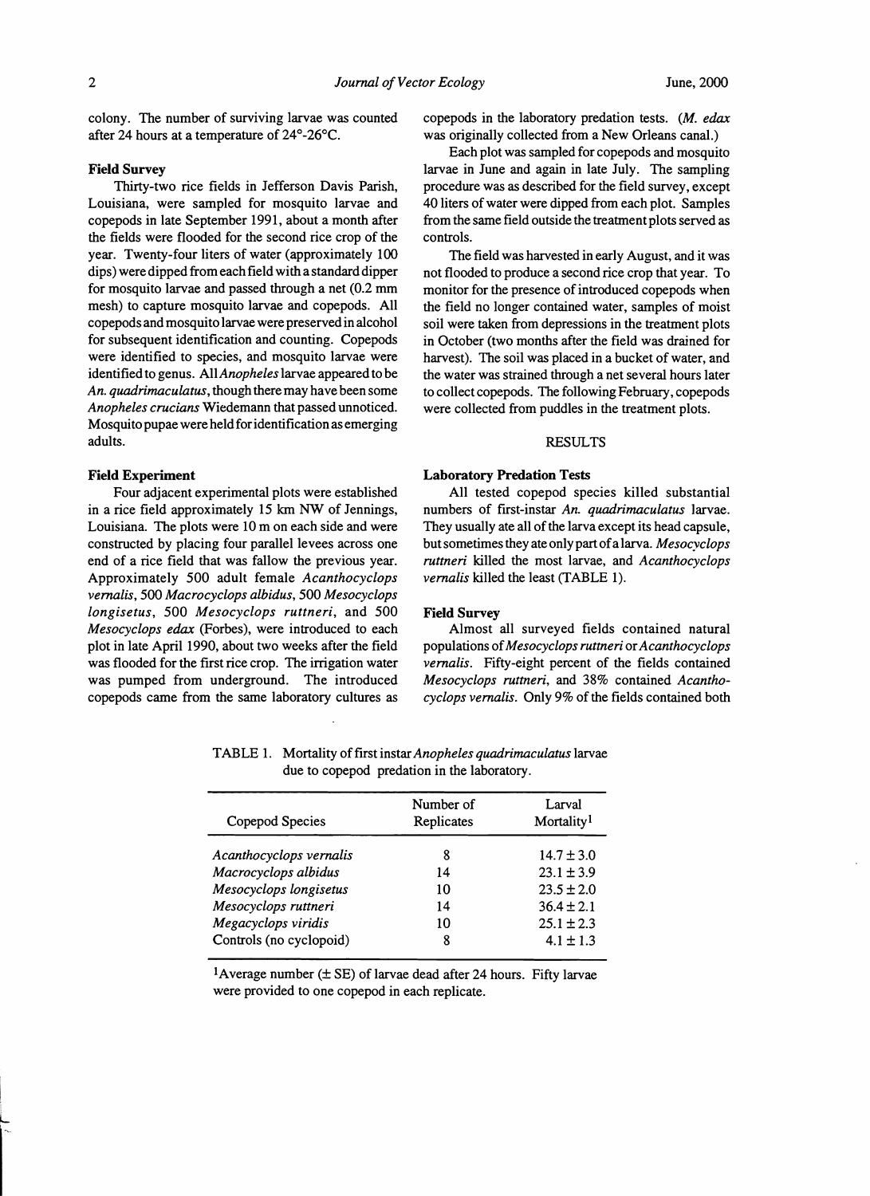colony. The number of surviving larvae was counted after 24 hours at a temperature of 24°-26°C.

## Field Survey

Thirty-two rice fields in Jefferson Davis Parish, Louisiana, were sampled for mosquito larvae and copepods in late September 1991, about a month after the fields were flooded for the second rice crop of the year. Twenty-four liters of water (approximately 100 dips) were dipped from each field with a standard dipper for mosquito larvae and passed through a net (0.2 mm mesh) to capture mosquito larvae and copepods. All copepods and mosquito larvae were preserved in alcohol for subsequent identification and counting. Copepods were identified to species, and mosquito larvae were identified to genus. All*Anopheles* larvae appeared to be *An. quadrimacuLatus*, though there may have been some *Anopheles crucians* Wiedemann that passed unnoticed. Mosquito pupae were held for identification as emerging adults.

## Field Experiment

Four adjacent experimental plots were established in a rice field approximately 15 km NW of Jennings, Louisiana. The plots were 10m on each side and were constructed by placing four parallel levees across one end of a rice field that was fallow the previous year. Approximately 500 adult female *Acanthocyclops vernalis,* 500 *Macrocyclops albidus,* 500 *Mesocyclops longisetus,* 500 *Mesocyclops ruttneri,* and 500 *Mesocyclops edax* (Forbes), were introduced to each plot in late April 1990, about two weeks after the field was flooded for the first rice crop. The irrigation water was pumped from underground. The introduced copepods came from the same laboratory cultures as copepods in the laboratory predation tests. *(M. edax*  was originally collected from a New Orleans canal.)

Each plot was sampled for copepods and mosquito larvae in June and again in late July. The sampling procedure was as described for the field survey, except 40 liters ofwater were dipped from each plot. Samples from the same field outside the treatment plots served as controls.

The field was harvested in early August, and it was not flooded to produce a second rice crop that year. To monitor for the presence of introduced copepods when the field no longer contained water, samples of moist soil were taken from depressions in the treatment plots in October (two months after the field was drained for harvest). The soil was placed in a bucket of water, and the water was strained through a net several hours later to collect copepods. The following February, copepods were collected from puddles in the treatment plots.

## RESULTS

#### Laboratory Predation Tests

All tested copepod species killed substantial numbers of first-instar *An. quadrimaculatus* larvae. They usually ate all of the larva except its head capsule, butsometimes they ate only part ofa larva. *Mesocyclops ruttneri* killed the most larvae, and *Acanthocyclops vernalis* killed the least (TABLE 1).

## Field Survey

Almost all surveyed fields contained natural populations of*Mesocyclops ruttneri* or*Acanthocyclops vernalis.* Fifty-eight percent of the fields contained *Mesocyclops ruttneri,* and 38% contained *Acanthocyclops vemalis.* Only 9% of the fields contained both

| Number of<br>Replicates | Larval<br>Mortality <sup>1</sup> |
|-------------------------|----------------------------------|
| 8                       | $14.7 \pm 3.0$                   |
| 14                      | $23.1 \pm 3.9$                   |
| 10                      | $23.5 \pm 2.0$                   |
| 14                      | $36.4 \pm 2.1$                   |
| 10                      | $25.1 \pm 2.3$                   |
| 8                       | $4.1 \pm 1.3$                    |
|                         |                                  |

TABLE 1. Mortality offirst instar*Anopheles quadrimaculatus* larvae due to copepod predation in the laboratory.

<sup>1</sup>Average number  $(\pm \text{ SE})$  of larvae dead after 24 hours. Fifty larvae were provided to one copepod in each replicate.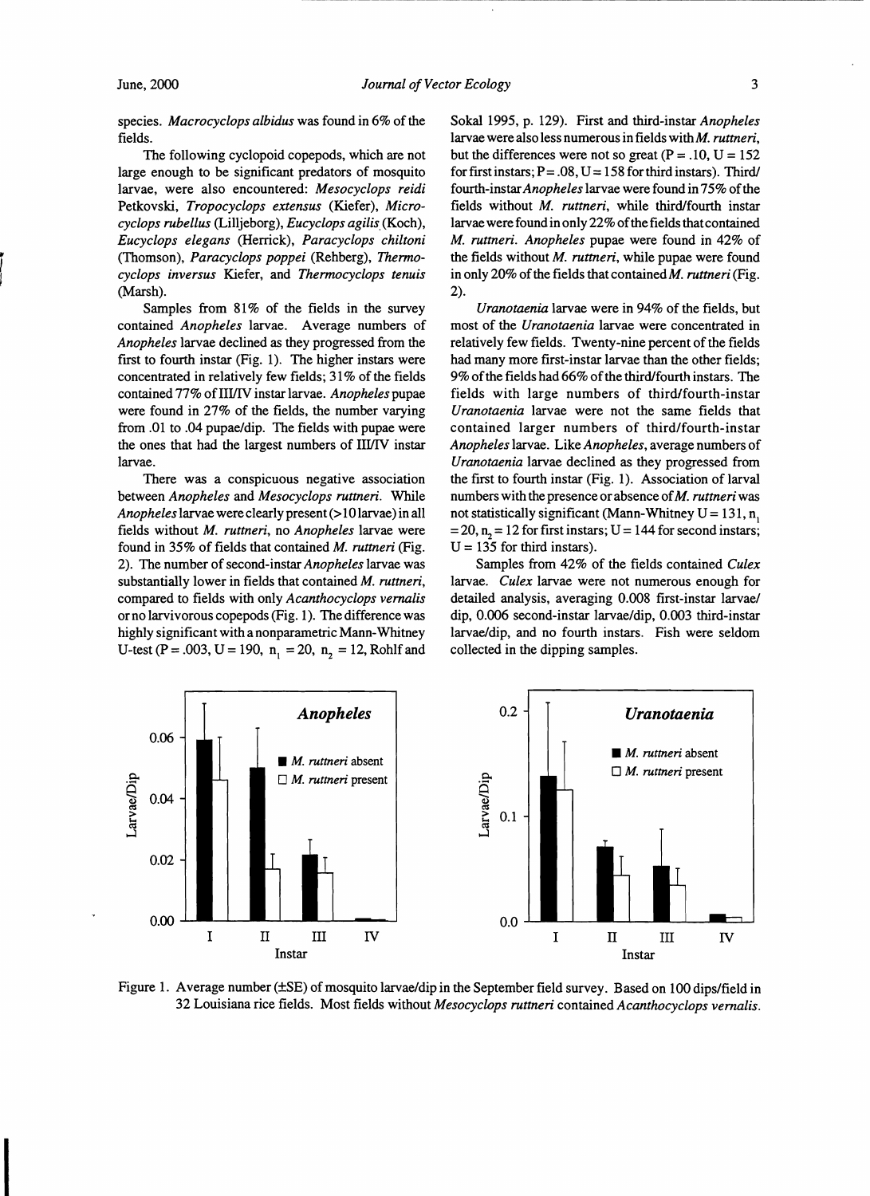I

species. *Macrocyclops albidus* was found in 6% of the fields.

The following cyclopoid copepods, which are not large enough to be significant predators of mosquito larvae, were also encountered: *Mesocyclops reidi*  Petkovski, *Tropocyclops extensus* (Kiefer), *Microcyclops rubellus* (Lilljeborg), *Eucyclops agilis.* (Koch), *Eucyclops elegans* (Herrick), *Paracyclops chiltoni*  (Thomson), *Paracyclops poppei* (Rehberg), *Thermocyclops inversus* Kiefer, and *Thermocyclops tenuis*  (Marsh).

Samples from 81% of the fields in the survey contained *Anopheles* larvae. Average numbers of *Anopheles* larvae declined as they progressed from the first to fourth instar (Fig. 1). The higher instars were concentrated in relatively few fields; 31% of the fields contained 77% of III/IV instar larvae. *Anopheles* pupae were found in 27% of the fields, the number varying from .01 to .04 pupae/dip. The fields with pupae were the ones that had the largest numbers of III/IV instar larvae.

There was a conspicuous negative association between *Anopheles* and *Mesocyclops ruttneri.* While *Anopheles* larvae were clearly present (>10larvae) in all fields without *M. ruttneri,* no *Anopheles* larvae were found in 35% of fields that contained *M. ruttneri* (Fig. 2). The number of second-instar *Anopheles* larvae was substantially lower in fields that contained *M. ruttneri,*  compared to fields with only *Acanthocyclops vernalis*  or no larvivorous copepods (Fig. 1). The difference was highly significant with a nonparametric Mann-Whitney U-test (P = .003, U = 190,  $n_1$  = 20,  $n_2$  = 12, Rohlf and Sokal 1995, p. 129). First and third-instar *Anopheles*  larvae were also less numerous in fields with *M. ruttneri,*  but the differences were not so great ( $P = .10$ ,  $U = 152$ ) for first instars;  $P = .08$ ,  $U = 158$  for third instars). Third/ fourth-instar *Anopheles* larvae were found in 75% of the fields without *M. ruttneri,* while third/fourth instar larvae were found in only 22% of the fields that contained *M. ruttneri. Anopheles* pupae were found in 42% of the fields without *M. ruttneri,* while pupae were found in only 20% of the fields that contained *M. ruttneri* (Fig. 2).

*Uranotaenia* larvae were in 94% of the fields, but most of the *Uranotaenia* larvae were concentrated in relatively few fields. Twenty-nine percent of the fields had many more first-instar larvae than the other fields; 9% of the fields had 66% of the third/fourth instars. The fields with large numbers of third/fourth-instar *Uranotaenia* larvae were not the same fields that contained larger numbers of third/fourth-instar *Anopheles* larvae. Like *Anopheles,* average numbers of *Uranotaenia* larvae declined as they progressed from the frrst to fourth instar (Fig. 1). Association of larval numbers with the presence orabsence of*M. ruttneri* was not statistically significant (Mann-Whitney  $U = 131$ , n,  $= 20$ , n<sub>n</sub> = 12 for first instars; U = 144 for second instars;  $U = 135$  for third instars).

Samples from 42% of the fields contained *Culex*  larvae. *Culex* larvae were not numerous enough for detailed analysis, averaging 0.008 first-instar larvae/ dip, 0.006 second-instar larvae/dip, 0.003 third-instar larvae/dip, and no fourth instars. Fish were seldom collected in the dipping samples.



Figure 1. Average number (±SE) of mosquito larvae/dip in the September field survey. Based on 100 dips/field in 32 Louisiana rice fields. Most fields without *Mesocyclops ruttneri* contained *Acanthocyclops vernalis.*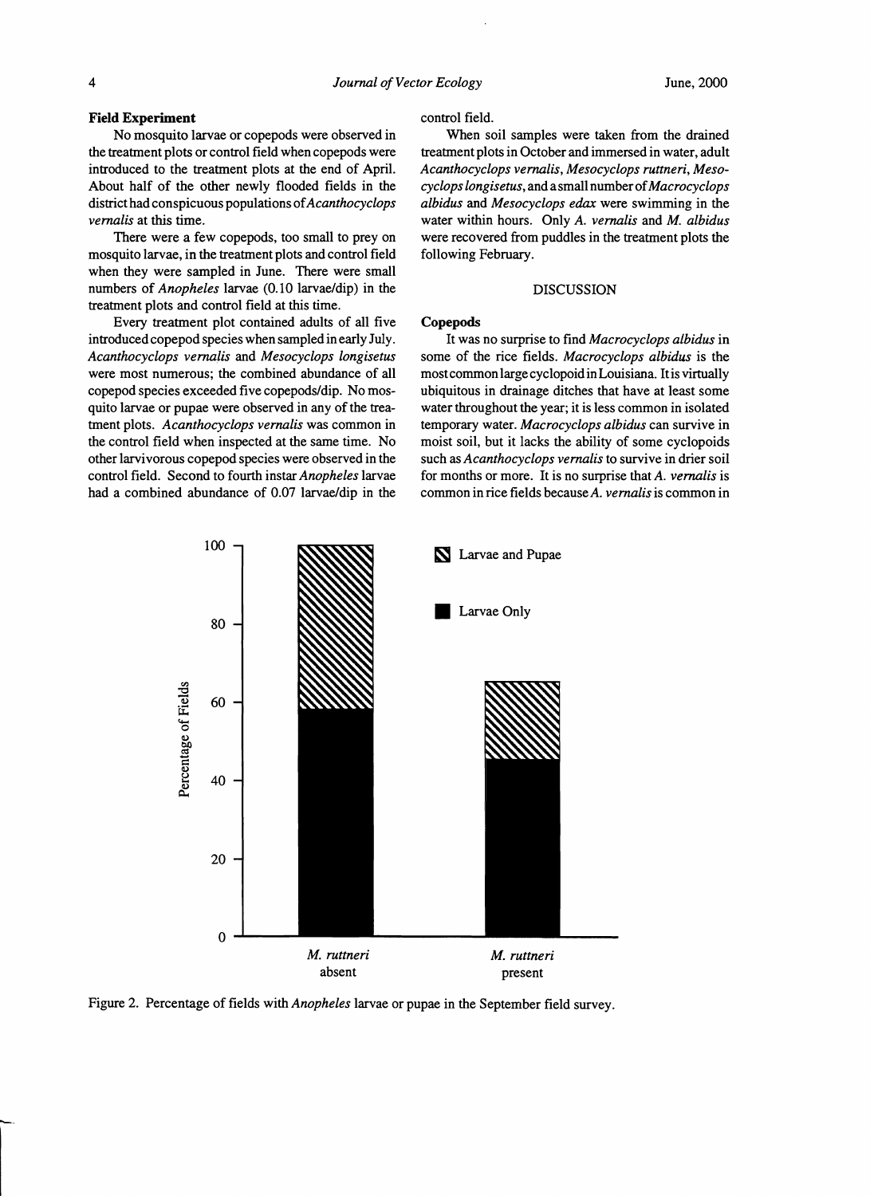## Field Experiment

No mosquito larvae or copepods were observed in the treatment plots or control field when copepods were introduced to the treatment plots at the end of April. About half of the other newly flooded fields in the district had conspicuous populations of *Acanthocyclops vernalis* at this time.

There were a few copepods, too small to prey on mosquito larvae, in the treatment plots and control field when they were sampled in June. There were small nurnbers of *Anopheles* larvae (0.10 larvae/dip) in the treatment plots and control field at this time.

Every treatment plot contained adults of all five introduced copepod species when sampled in early July. *Acanthocyclops vernalis* and *Mesocyclops longisetus*  were most numerous; the combined abundance of all copepod species exceeded five copepods/dip. No mosquito larvae or pupae were observed in any of the treatment plots. *Acanthocyclops vernalis* was common in the control field when inspected at the same time. No other larvivorous copepod species were observed in the control field. Second to fourth instar *Anopheles* larvae had a combined abundance of 0.07 larvae/dip in the

## control field.

When soil samples were taken from the drained treatment plots in October and immersed in water, adult *Acanthocyclops vernalis, Mesocyclops ruttneri, Mesocyclops longisetus,* and a small numberof*Macrocyclops albidus* and *Mesocyclops edax* were swimming in the water within hours. Only *A. vernalis* and *M. albidus*  were recovered from puddles in the treatment plots the following February.

## DISCUSSION

### Copepods

It was no surprise to find *Macrocyclops albidus* in some of the rice fields. *Macrocyclops albidus* is the mostcommon large cyclopoid inLouisiana. Itis virtually ubiquitous in drainage ditches that have at least some water throughout the year; it is less common in isolated temporary water. *Macrocyclops albidus* can survive in moist soil, but it lacks the ability of some cyclopoids such as *Acanthocyclops vernalis* to survive in drier soil for months or more. It is no surprise that *A. vernalis* is common in rice fields *becauseA. vernalis* is common in



Figure 2. Percentage of fields with *Anopheles* larvae or pupae in the Septernber field survey.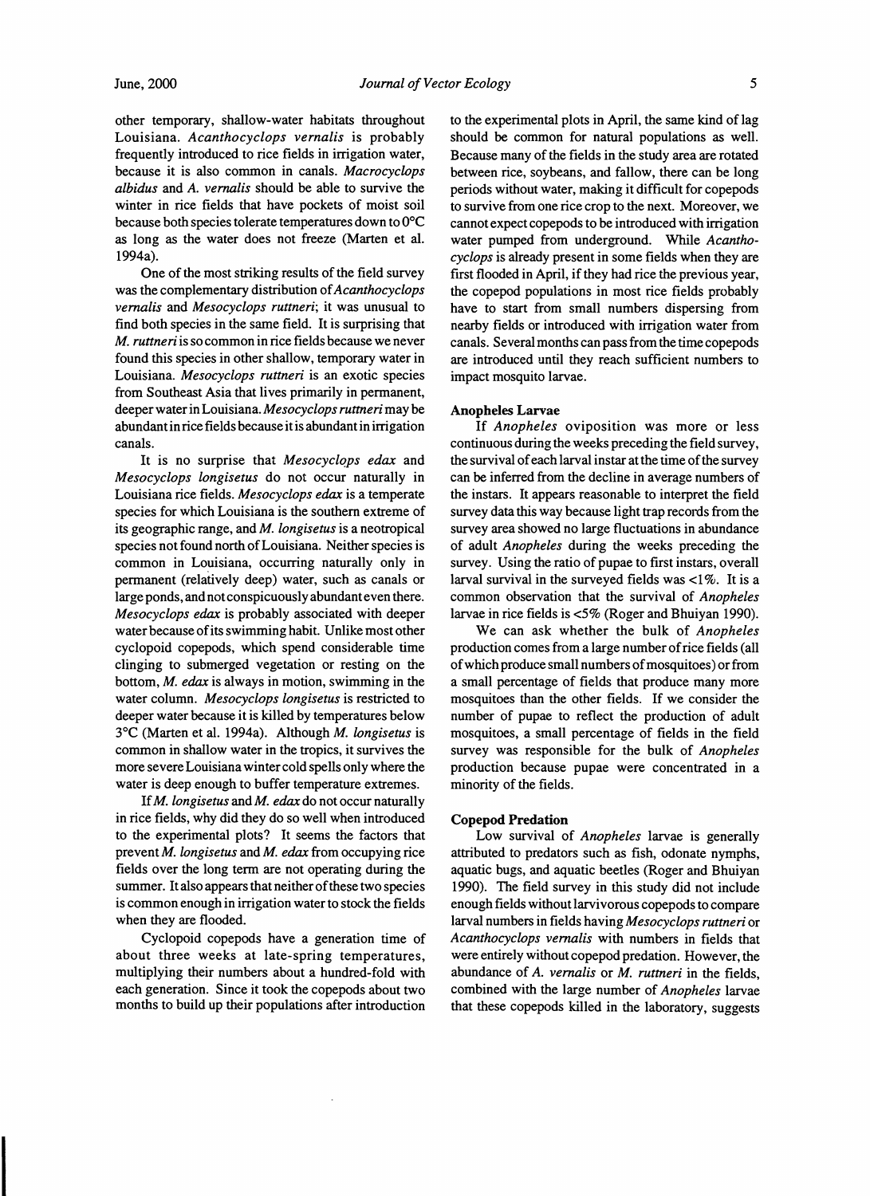other temporary, shallow-water habitats throughout Louisiana. *Acanthocyclops vernalis* is probably frequently introduced to rice fields in irrigation water, because it is also common in canals. *Macrocyclops albidus* and *A. vernalis* should be able to survive the winter in rice fields that have pockets of moist soil because both species tolerate temperatures down to O°C as long as the water does not freeze (Marten et al. 1994a).

One of the most striking results of the field survey was the complementary distribution of*Acanthocyclops vernalis* and *Mesocyclops ruttneri;* it was unusual to find both species in the same field. It is surprising that *M. ruttneri* is so common in rice fields because we never found this species in other shallow, temporary water in Louisiana. *Mesocyclops ruttneri* is an exotic species from Southeast Asia that lives primarily in permanent, deeper water in Louisiana. *Mesocyclops ruttneri* may be abundant in rice fields because it is abundant in irrigation canals.

It is no surprise that *Mesocyclops edax* and *Mesocyclops longisetus* do not occur naturally in Louisiana rice fields. *Mesocyclops edax* is a temperate species for which Louisiana is the southern extreme of its geographic range, and *M. longisetus* is a neotropical species not found north of Louisiana. Neither species is common in Louisiana, occurring naturally only in pennanent (relatively deep) water, such as canals or large ponds, and not conspicuously abundanteven there. *Mesocyclops edax* is probably associated with deeper water because of its swimming habit. Unlike most other cyclopoid copepods, which spend considerable time clinging to submerged vegetation or resting on the bottom, M. *edax* is always in motion, swimming in the water column. *Mesocyclops longisetus* is restricted to deeper water because it is killed by temperatures below 3°C (Marten et al. 1994a). Although *M. longisetus* is common in shallow water in the tropics, it survives the more severe Louisiana winter cold spells only where the water is deep enough to buffer temperature extremes.

If*M. longisetus* and *M. edax* do not occur naturally in rice fields, why did they do so well when introduced to the experimental plots? It seems the factors that prevent *M. longisetus* and *M. edax* from occupying rice fields over the long term are not operating during the summer. It also appears that neither of these two species is common enough in irrigation water to stock the fields when they are flooded.

Cyclopoid copepods have a generation time of about three weeks at late-spring temperatures, multiplying their numbers about a hundred-fold with each generation. Since it took the copepods about two months to build up their populations after introduction

I

to the experimental plots in April, the same kind of lag should be common for natural populations as well. Because many of the fields in the study area are rotated between rice, soybeans, and fallow, there can be long periods without water, making it difficult for copepods to survive from one rice crop to the next. Moreover, we cannot expect copepods to be introduced with irrigation water pumped from underground. While *Acanthocyclops* is already present in some fields when they are first flooded in April, if they had rice the previous year, the copepod populations in most rice fields probably have to start from small numbers dispersing from nearby fields or introduced with irrigation water from canals. Several months can pass from the time copepods are introduced until they reach sufficient numbers to impact mosquito larvae.

## Anopheles Larvae

If *Anopheles* oviposition was more or less continuous during the weeks preceding the field survey, the survival of each larval instar at the time of the survey can be inferred from the decline in average numbers of the instars. It appears reasonable to interpret the field survey data this way because light trap records from the survey area showed no large fluctuations in abundance of adult *Anopheles* during the weeks preceding the survey. Using the ratio of pupae to first instars, overall larval survival in the surveyed fields was  $\langle 1\% \rangle$ . It is a common observation that the survival of *Anopheles*  larvae in rice fields is <5% (Roger and Bhuiyan 1990).

We can ask whether the bulk of *Anopheles*  production comes from a large number of rice fields (all of which produce small numbers of mosquitoes) or from a small percentage of fields that produce many more mosquitoes than the other fields. If we consider the number of pupae to reflect the production of adult mosquitoes, a small percentage of fields in the field survey was responsible for the bulk of *Anopheles*  production because pupae were concentrated in a minority of the fields.

#### Copepod Predation

Low survival of *Anopheles* larvae is generally attributed to predators such as fish, odonate nymphs, aquatic bugs, and aquatic beetles (Roger and Bhuiyan 1990). The field survey in this study did not include enough fields without larvivorous copepods to compare larval numbers in fields having *Mesocyclops ruttneri* or *Acanthocyclops vernalis* with numbers in fields that were entirely without copepod predation. However, the abundance of *A. vernalis* or *M. ruttneri* in the fields, combined with the large number of *Anopheles* larvae that these copepods killed in the laboratory, suggests